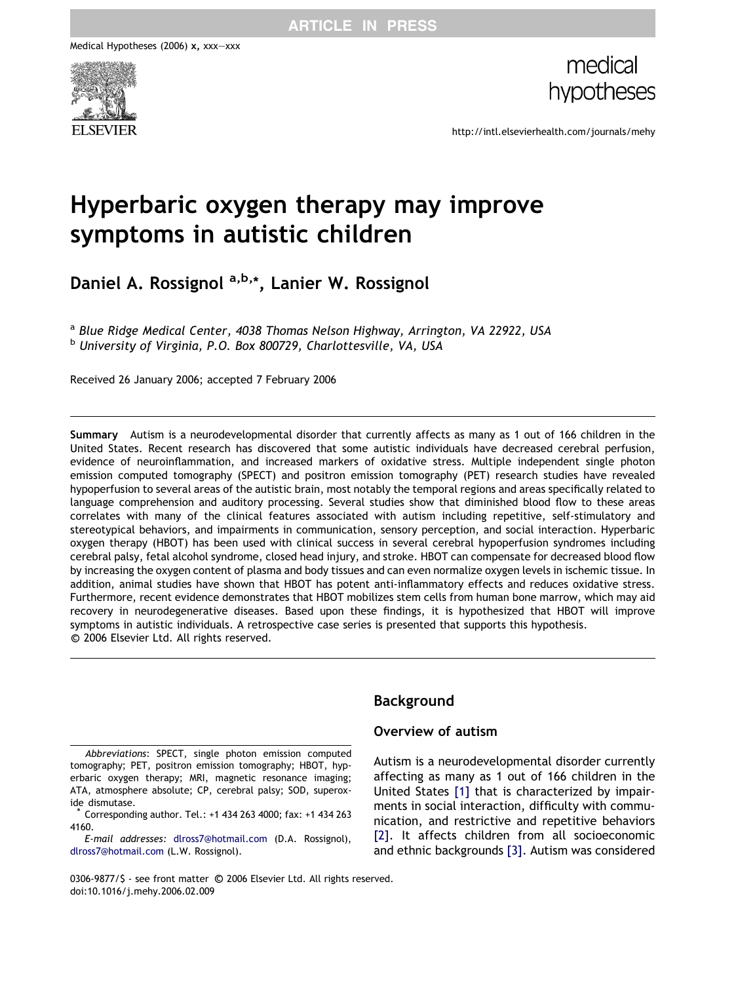Medical Hypotheses (2006) x, xxx–xxx



medical hypotheses

http://intl.elsevierhealth.com/journals/mehy

# Hyperbaric oxygen therapy may improve symptoms in autistic children

Daniel A. Rossignol a,b,\*, Lanier W. Rossignol

a Blue Ridge Medical Center, 4038 Thomas Nelson Highway, Arrington, VA 22922, USA <sup>b</sup> University of Virginia, P.O. Box 800729, Charlottesville, VA, USA

Received 26 January 2006; accepted 7 February 2006

Summary Autism is a neurodevelopmental disorder that currently affects as many as 1 out of 166 children in the United States. Recent research has discovered that some autistic individuals have decreased cerebral perfusion, evidence of neuroinflammation, and increased markers of oxidative stress. Multiple independent single photon emission computed tomography (SPECT) and positron emission tomography (PET) research studies have revealed hypoperfusion to several areas of the autistic brain, most notably the temporal regions and areas specifically related to language comprehension and auditory processing. Several studies show that diminished blood flow to these areas correlates with many of the clinical features associated with autism including repetitive, self-stimulatory and stereotypical behaviors, and impairments in communication, sensory perception, and social interaction. Hyperbaric oxygen therapy (HBOT) has been used with clinical success in several cerebral hypoperfusion syndromes including cerebral palsy, fetal alcohol syndrome, closed head injury, and stroke. HBOT can compensate for decreased blood flow by increasing the oxygen content of plasma and body tissues and can even normalize oxygen levels in ischemic tissue. In addition, animal studies have shown that HBOT has potent anti-inflammatory effects and reduces oxidative stress. Furthermore, recent evidence demonstrates that HBOT mobilizes stem cells from human bone marrow, which may aid recovery in neurodegenerative diseases. Based upon these findings, it is hypothesized that HBOT will improve symptoms in autistic individuals. A retrospective case series is presented that supports this hypothesis. -c 2006 Elsevier Ltd. All rights reserved.

Abbreviations: SPECT, single photon emission computed tomography; PET, positron emission tomography; HBOT, hyperbaric oxygen therapy; MRI, magnetic resonance imaging; ATA, atmosphere absolute; CP, cerebral palsy; SOD, superoxide dismutase.

\* Corresponding author. Tel.: +1 434 263 4000; fax: +1 434 263 4160.

E-mail addresses: [dlross7@hotmail.com](mailto:dlross7@hotmail.com) (D.A. Rossignol), [dlross7@hotmail.com](mailto:dlross7@hotmail.com) (L.W. Rossignol).

# Background

## Overview of autism

Autism is a neurodevelopmental disorder currently affecting as many as 1 out of 166 children in the United States [\[1\]](#page-9-0) that is characterized by impairments in social interaction, difficulty with communication, and restrictive and repetitive behaviors [\[2\]](#page-9-0). It affects children from all socioeconomic and ethnic backgrounds [\[3\].](#page-9-0) Autism was considered

0306-9877/\$ - see front matter © 2006 Elsevier Ltd. All rights reserved. doi:10.1016/j.mehy.2006.02.009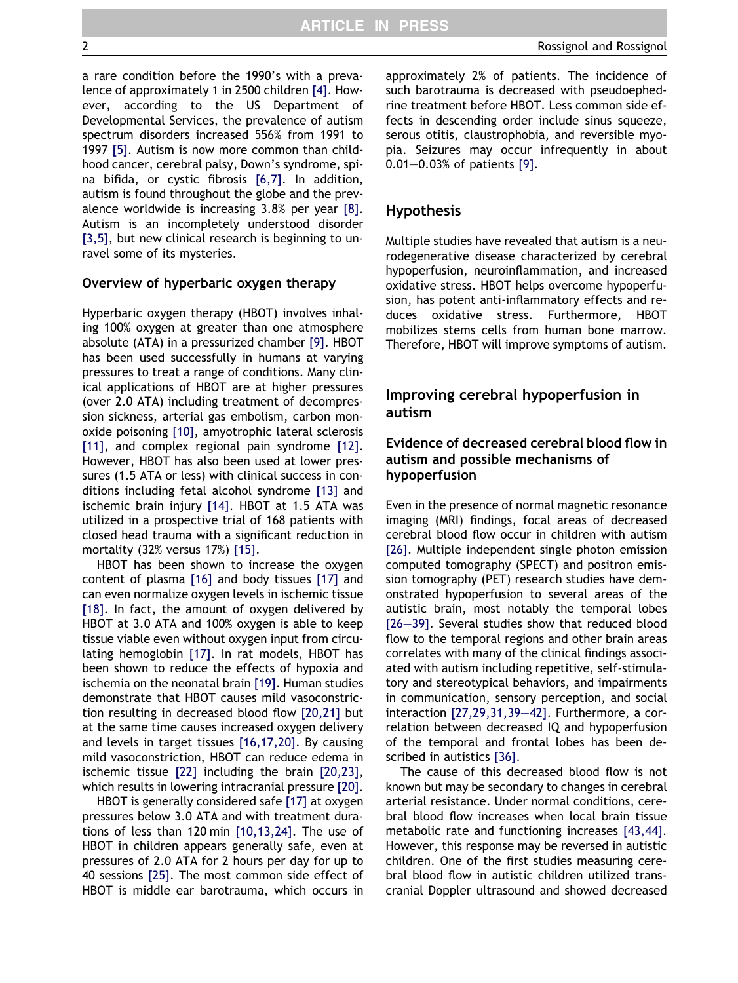a rare condition before the 1990's with a prevalence of approximately 1 in 2500 children [\[4\]](#page-9-0). However, according to the US Department of Developmental Services, the prevalence of autism spectrum disorders increased 556% from 1991 to 1997 [\[5\]](#page-9-0). Autism is now more common than childhood cancer, cerebral palsy, Down's syndrome, spina bifida, or cystic fibrosis [\[6,7\].](#page-9-0) In addition, autism is found throughout the globe and the prevalence worldwide is increasing 3.8% per year [\[8\].](#page-9-0) Autism is an incompletely understood disorder [\[3,5\],](#page-9-0) but new clinical research is beginning to unravel some of its mysteries.

#### Overview of hyperbaric oxygen therapy

Hyperbaric oxygen therapy (HBOT) involves inhaling 100% oxygen at greater than one atmosphere absolute (ATA) in a pressurized chamber [\[9\]](#page-9-0). HBOT has been used successfully in humans at varying pressures to treat a range of conditions. Many clinical applications of HBOT are at higher pressures (over 2.0 ATA) including treatment of decompression sickness, arterial gas embolism, carbon monoxide poisoning [\[10\],](#page-9-0) amyotrophic lateral sclerosis [\[11\]](#page-9-0), and complex regional pain syndrome [\[12\].](#page-9-0) However, HBOT has also been used at lower pressures (1.5 ATA or less) with clinical success in conditions including fetal alcohol syndrome [\[13\]](#page-9-0) and ischemic brain injury [\[14\]](#page-9-0). HBOT at 1.5 ATA was utilized in a prospective trial of 168 patients with closed head trauma with a significant reduction in mortality (32% versus 17%) [\[15\]](#page-9-0).

HBOT has been shown to increase the oxygen content of plasma [\[16\]](#page-9-0) and body tissues [\[17\]](#page-9-0) and can even normalize oxygen levels in ischemic tissue [\[18\]](#page-9-0). In fact, the amount of oxygen delivered by HBOT at 3.0 ATA and 100% oxygen is able to keep tissue viable even without oxygen input from circulating hemoglobin [\[17\]](#page-9-0). In rat models, HBOT has been shown to reduce the effects of hypoxia and ischemia on the neonatal brain [\[19\].](#page-9-0) Human studies demonstrate that HBOT causes mild vasoconstriction resulting in decreased blood flow [\[20,21\]](#page-9-0) but at the same time causes increased oxygen delivery and levels in target tissues [\[16,17,20\].](#page-9-0) By causing mild vasoconstriction, HBOT can reduce edema in ischemic tissue [\[22\]](#page-9-0) including the brain [\[20,23\],](#page-9-0) which results in lowering intracranial pressure [\[20\].](#page-9-0)

HBOT is generally considered safe [\[17\]](#page-9-0) at oxygen pressures below 3.0 ATA and with treatment durations of less than 120 min [\[10,13,24\].](#page-9-0) The use of HBOT in children appears generally safe, even at pressures of 2.0 ATA for 2 hours per day for up to 40 sessions [\[25\]](#page-10-0). The most common side effect of HBOT is middle ear barotrauma, which occurs in approximately 2% of patients. The incidence of such barotrauma is decreased with pseudoephedrine treatment before HBOT. Less common side effects in descending order include sinus squeeze, serous otitis, claustrophobia, and reversible myopia. Seizures may occur infrequently in about 0.01–0.03% of patients [\[9\]](#page-9-0).

#### Hypothesis

Multiple studies have revealed that autism is a neurodegenerative disease characterized by cerebral hypoperfusion, neuroinflammation, and increased oxidative stress. HBOT helps overcome hypoperfusion, has potent anti-inflammatory effects and reduces oxidative stress. Furthermore, HBOT mobilizes stems cells from human bone marrow. Therefore, HBOT will improve symptoms of autism.

## Improving cerebral hypoperfusion in autism

## Evidence of decreased cerebral blood flow in autism and possible mechanisms of hypoperfusion

Even in the presence of normal magnetic resonance imaging (MRI) findings, focal areas of decreased cerebral blood flow occur in children with autism [\[26\]](#page-10-0). Multiple independent single photon emission computed tomography (SPECT) and positron emission tomography (PET) research studies have demonstrated hypoperfusion to several areas of the autistic brain, most notably the temporal lobes [\[26–39\].](#page-10-0) Several studies show that reduced blood flow to the temporal regions and other brain areas correlates with many of the clinical findings associated with autism including repetitive, self-stimulatory and stereotypical behaviors, and impairments in communication, sensory perception, and social interaction [\[27,29,31,39–42\].](#page-10-0) Furthermore, a correlation between decreased IQ and hypoperfusion of the temporal and frontal lobes has been described in autistics [\[36\].](#page-10-0)

The cause of this decreased blood flow is not known but may be secondary to changes in cerebral arterial resistance. Under normal conditions, cerebral blood flow increases when local brain tissue metabolic rate and functioning increases [\[43,44\].](#page-10-0) However, this response may be reversed in autistic children. One of the first studies measuring cerebral blood flow in autistic children utilized transcranial Doppler ultrasound and showed decreased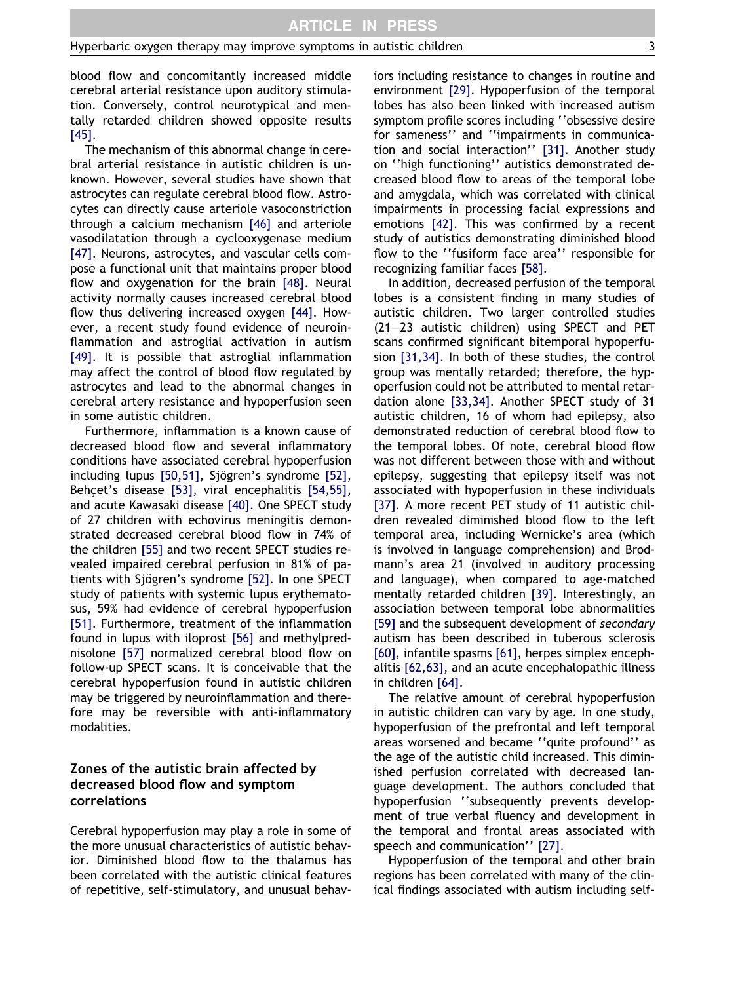blood flow and concomitantly increased middle cerebral arterial resistance upon auditory stimulation. Conversely, control neurotypical and mentally retarded children showed opposite results [\[45\]](#page-10-0).

The mechanism of this abnormal change in cerebral arterial resistance in autistic children is unknown. However, several studies have shown that astrocytes can regulate cerebral blood flow. Astrocytes can directly cause arteriole vasoconstriction through a calcium mechanism [\[46\]](#page-10-0) and arteriole vasodilatation through a cyclooxygenase medium [\[47\]](#page-10-0). Neurons, astrocytes, and vascular cells compose a functional unit that maintains proper blood flow and oxygenation for the brain [\[48\].](#page-10-0) Neural activity normally causes increased cerebral blood flow thus delivering increased oxygen [\[44\].](#page-10-0) However, a recent study found evidence of neuroinflammation and astroglial activation in autism [\[49\]](#page-10-0). It is possible that astroglial inflammation may affect the control of blood flow regulated by astrocytes and lead to the abnormal changes in cerebral artery resistance and hypoperfusion seen in some autistic children.

Furthermore, inflammation is a known cause of decreased blood flow and several inflammatory conditions have associated cerebral hypoperfusion including lupus [\[50,51\]](#page-10-0), Sjögren's syndrome [\[52\]](#page-10-0), Behcet's disease [\[53\],](#page-10-0) viral encephalitis [\[54,55\]](#page-10-0), and acute Kawasaki disease [\[40\].](#page-10-0) One SPECT study of 27 children with echovirus meningitis demonstrated decreased cerebral blood flow in 74% of the children [\[55\]](#page-10-0) and two recent SPECT studies revealed impaired cerebral perfusion in 81% of pa-tients with Sjögren's syndrome [\[52\].](#page-10-0) In one SPECT study of patients with systemic lupus erythematosus, 59% had evidence of cerebral hypoperfusion [\[51\]](#page-10-0). Furthermore, treatment of the inflammation found in lupus with iloprost [\[56\]](#page-10-0) and methylprednisolone [\[57\]](#page-10-0) normalized cerebral blood flow on follow-up SPECT scans. It is conceivable that the cerebral hypoperfusion found in autistic children may be triggered by neuroinflammation and therefore may be reversible with anti-inflammatory modalities.

# Zones of the autistic brain affected by decreased blood flow and symptom correlations

Cerebral hypoperfusion may play a role in some of the more unusual characteristics of autistic behavior. Diminished blood flow to the thalamus has been correlated with the autistic clinical features of repetitive, self-stimulatory, and unusual behaviors including resistance to changes in routine and environment [\[29\].](#page-10-0) Hypoperfusion of the temporal lobes has also been linked with increased autism symptom profile scores including ''obsessive desire for sameness'' and ''impairments in communication and social interaction'' [\[31\].](#page-10-0) Another study on ''high functioning'' autistics demonstrated decreased blood flow to areas of the temporal lobe and amygdala, which was correlated with clinical impairments in processing facial expressions and emotions [\[42\]](#page-10-0). This was confirmed by a recent study of autistics demonstrating diminished blood flow to the ''fusiform face area'' responsible for recognizing familiar faces [\[58\]](#page-10-0).

In addition, decreased perfusion of the temporal lobes is a consistent finding in many studies of autistic children. Two larger controlled studies (21–23 autistic children) using SPECT and PET scans confirmed significant bitemporal hypoperfusion [\[31,34\]](#page-10-0). In both of these studies, the control group was mentally retarded; therefore, the hypoperfusion could not be attributed to mental retardation alone [\[33,34\].](#page-10-0) Another SPECT study of 31 autistic children, 16 of whom had epilepsy, also demonstrated reduction of cerebral blood flow to the temporal lobes. Of note, cerebral blood flow was not different between those with and without epilepsy, suggesting that epilepsy itself was not associated with hypoperfusion in these individuals [\[37\]](#page-10-0). A more recent PET study of 11 autistic children revealed diminished blood flow to the left temporal area, including Wernicke's area (which is involved in language comprehension) and Brodmann's area 21 (involved in auditory processing and language), when compared to age-matched mentally retarded children [\[39\]](#page-10-0). Interestingly, an association between temporal lobe abnormalities [\[59\]](#page-10-0) and the subsequent development of secondary autism has been described in tuberous sclerosis [\[60\]](#page-10-0), infantile spasms [\[61\],](#page-11-0) herpes simplex encephalitis [\[62,63\]](#page-11-0), and an acute encephalopathic illness in children [\[64\].](#page-11-0)

The relative amount of cerebral hypoperfusion in autistic children can vary by age. In one study, hypoperfusion of the prefrontal and left temporal areas worsened and became ''quite profound'' as the age of the autistic child increased. This diminished perfusion correlated with decreased language development. The authors concluded that hypoperfusion ''subsequently prevents development of true verbal fluency and development in the temporal and frontal areas associated with speech and communication'' [\[27\]](#page-10-0).

Hypoperfusion of the temporal and other brain regions has been correlated with many of the clinical findings associated with autism including self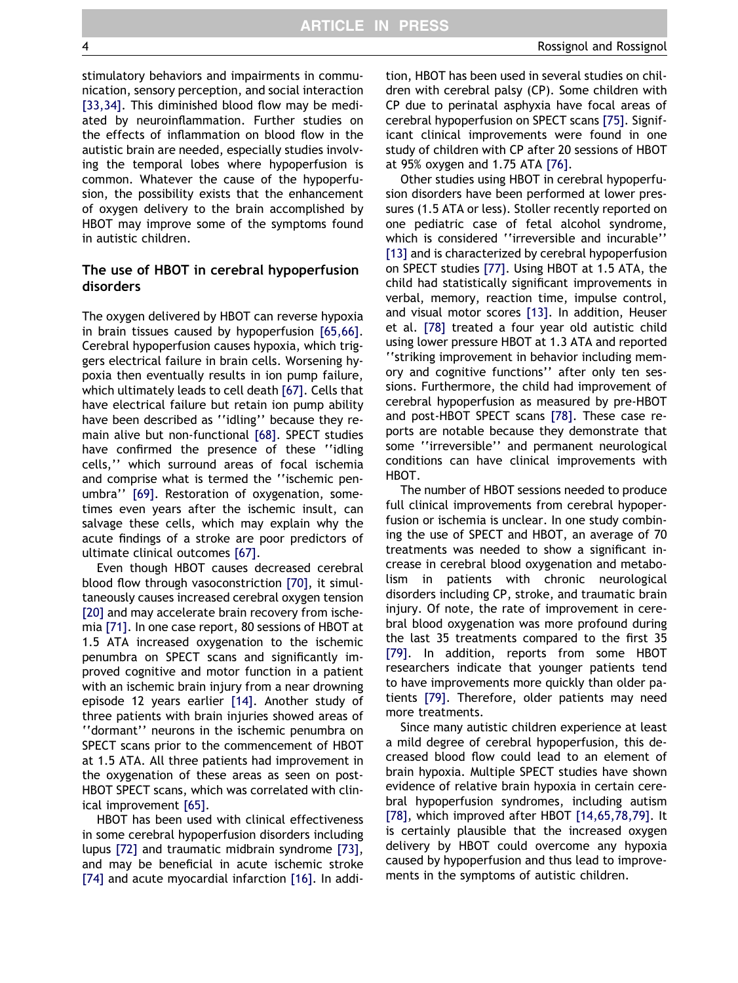stimulatory behaviors and impairments in communication, sensory perception, and social interaction [\[33,34\]](#page-10-0). This diminished blood flow may be mediated by neuroinflammation. Further studies on the effects of inflammation on blood flow in the autistic brain are needed, especially studies involving the temporal lobes where hypoperfusion is common. Whatever the cause of the hypoperfusion, the possibility exists that the enhancement of oxygen delivery to the brain accomplished by HBOT may improve some of the symptoms found in autistic children.

## The use of HBOT in cerebral hypoperfusion disorders

The oxygen delivered by HBOT can reverse hypoxia in brain tissues caused by hypoperfusion [\[65,66\].](#page-11-0) Cerebral hypoperfusion causes hypoxia, which triggers electrical failure in brain cells. Worsening hypoxia then eventually results in ion pump failure, which ultimately leads to cell death [\[67\]](#page-11-0). Cells that have electrical failure but retain ion pump ability have been described as ''idling'' because they remain alive but non-functional [\[68\]](#page-11-0). SPECT studies have confirmed the presence of these ''idling cells,'' which surround areas of focal ischemia and comprise what is termed the ''ischemic penumbra'' [\[69\].](#page-11-0) Restoration of oxygenation, sometimes even years after the ischemic insult, can salvage these cells, which may explain why the acute findings of a stroke are poor predictors of ultimate clinical outcomes [\[67\].](#page-11-0)

Even though HBOT causes decreased cerebral blood flow through vasoconstriction [\[70\],](#page-11-0) it simultaneously causes increased cerebral oxygen tension [\[20\]](#page-9-0) and may accelerate brain recovery from ischemia [\[71\].](#page-11-0) In one case report, 80 sessions of HBOT at 1.5 ATA increased oxygenation to the ischemic penumbra on SPECT scans and significantly improved cognitive and motor function in a patient with an ischemic brain injury from a near drowning episode 12 years earlier [\[14\]](#page-9-0). Another study of three patients with brain injuries showed areas of ''dormant'' neurons in the ischemic penumbra on SPECT scans prior to the commencement of HBOT at 1.5 ATA. All three patients had improvement in the oxygenation of these areas as seen on post-HBOT SPECT scans, which was correlated with clinical improvement [\[65\].](#page-11-0)

HBOT has been used with clinical effectiveness in some cerebral hypoperfusion disorders including lupus [\[72\]](#page-11-0) and traumatic midbrain syndrome [\[73\],](#page-11-0) and may be beneficial in acute ischemic stroke [\[74\]](#page-11-0) and acute myocardial infarction [\[16\]](#page-9-0). In addition, HBOT has been used in several studies on children with cerebral palsy (CP). Some children with CP due to perinatal asphyxia have focal areas of cerebral hypoperfusion on SPECT scans [\[75\]](#page-11-0). Significant clinical improvements were found in one study of children with CP after 20 sessions of HBOT at 95% oxygen and 1.75 ATA [\[76\].](#page-11-0)

Other studies using HBOT in cerebral hypoperfusion disorders have been performed at lower pressures (1.5 ATA or less). Stoller recently reported on one pediatric case of fetal alcohol syndrome, which is considered ''irreversible and incurable'' [\[13\]](#page-9-0) and is characterized by cerebral hypoperfusion on SPECT studies [\[77\]](#page-11-0). Using HBOT at 1.5 ATA, the child had statistically significant improvements in verbal, memory, reaction time, impulse control, and visual motor scores [\[13\].](#page-9-0) In addition, Heuser et al. [\[78\]](#page-11-0) treated a four year old autistic child using lower pressure HBOT at 1.3 ATA and reported ''striking improvement in behavior including memory and cognitive functions'' after only ten sessions. Furthermore, the child had improvement of cerebral hypoperfusion as measured by pre-HBOT and post-HBOT SPECT scans [\[78\]](#page-11-0). These case reports are notable because they demonstrate that some ''irreversible'' and permanent neurological conditions can have clinical improvements with HBOT.

The number of HBOT sessions needed to produce full clinical improvements from cerebral hypoperfusion or ischemia is unclear. In one study combining the use of SPECT and HBOT, an average of 70 treatments was needed to show a significant increase in cerebral blood oxygenation and metabolism in patients with chronic neurological disorders including CP, stroke, and traumatic brain injury. Of note, the rate of improvement in cerebral blood oxygenation was more profound during the last 35 treatments compared to the first 35 [\[79\]](#page-11-0). In addition, reports from some HBOT researchers indicate that younger patients tend to have improvements more quickly than older patients [\[79\]](#page-11-0). Therefore, older patients may need more treatments.

Since many autistic children experience at least a mild degree of cerebral hypoperfusion, this decreased blood flow could lead to an element of brain hypoxia. Multiple SPECT studies have shown evidence of relative brain hypoxia in certain cerebral hypoperfusion syndromes, including autism [\[78\]](#page-11-0), which improved after HBOT [\[14,65,78,79\].](#page-9-0) It is certainly plausible that the increased oxygen delivery by HBOT could overcome any hypoxia caused by hypoperfusion and thus lead to improvements in the symptoms of autistic children.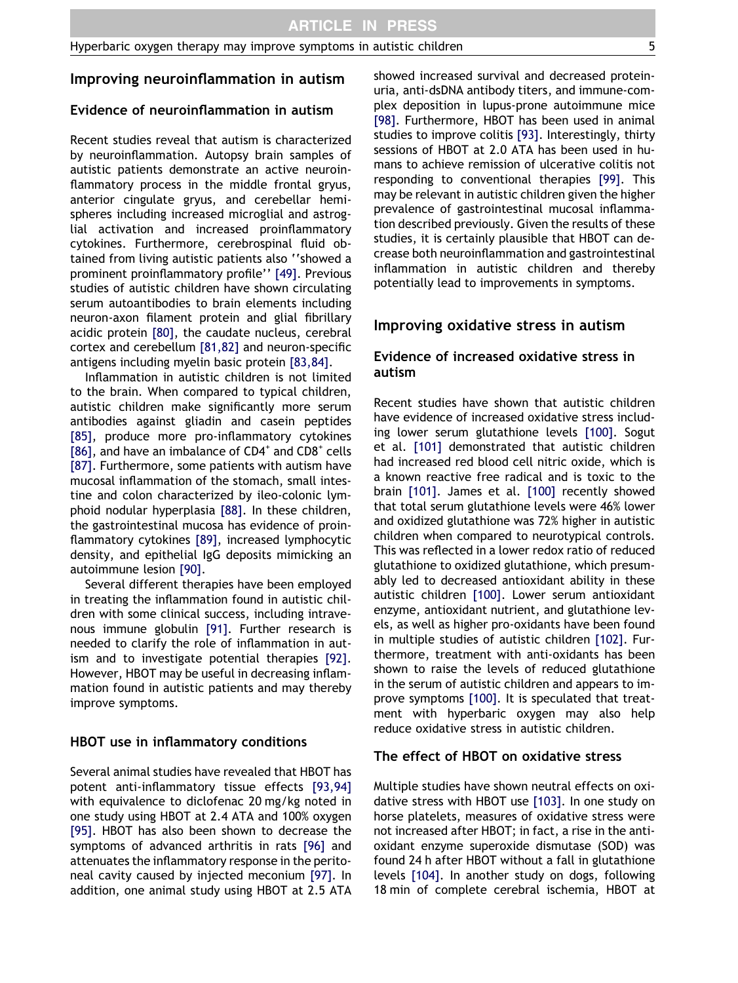# Improving neuroinflammation in autism

# Evidence of neuroinflammation in autism

Recent studies reveal that autism is characterized by neuroinflammation. Autopsy brain samples of autistic patients demonstrate an active neuroinflammatory process in the middle frontal gryus, anterior cingulate gryus, and cerebellar hemispheres including increased microglial and astroglial activation and increased proinflammatory cytokines. Furthermore, cerebrospinal fluid obtained from living autistic patients also ''showed a prominent proinflammatory profile'' [\[49\].](#page-10-0) Previous studies of autistic children have shown circulating serum autoantibodies to brain elements including neuron-axon filament protein and glial fibrillary acidic protein [\[80\]](#page-11-0), the caudate nucleus, cerebral cortex and cerebellum [\[81,82\]](#page-11-0) and neuron-specific antigens including myelin basic protein [\[83,84\]](#page-11-0).

Inflammation in autistic children is not limited to the brain. When compared to typical children, autistic children make significantly more serum antibodies against gliadin and casein peptides [\[85\]](#page-11-0), produce more pro-inflammatory cytokines [\[86\]](#page-11-0), and have an imbalance of  $CD4^+$  and  $CD8^+$  cells [\[87\]](#page-11-0). Furthermore, some patients with autism have mucosal inflammation of the stomach, small intestine and colon characterized by ileo-colonic lymphoid nodular hyperplasia [\[88\].](#page-11-0) In these children, the gastrointestinal mucosa has evidence of proinflammatory cytokines [\[89\]](#page-11-0), increased lymphocytic density, and epithelial IgG deposits mimicking an autoimmune lesion [\[90\].](#page-11-0)

Several different therapies have been employed in treating the inflammation found in autistic children with some clinical success, including intravenous immune globulin [\[91\].](#page-11-0) Further research is needed to clarify the role of inflammation in autism and to investigate potential therapies [\[92\]](#page-11-0). However, HBOT may be useful in decreasing inflammation found in autistic patients and may thereby improve symptoms.

## HBOT use in inflammatory conditions

Several animal studies have revealed that HBOT has potent anti-inflammatory tissue effects [\[93,94\]](#page-11-0) with equivalence to diclofenac 20 mg/kg noted in one study using HBOT at 2.4 ATA and 100% oxygen [\[95\]](#page-11-0). HBOT has also been shown to decrease the symptoms of advanced arthritis in rats [\[96\]](#page-11-0) and attenuates the inflammatory response in the peritoneal cavity caused by injected meconium [\[97\].](#page-11-0) In addition, one animal study using HBOT at 2.5 ATA showed increased survival and decreased proteinuria, anti-dsDNA antibody titers, and immune-complex deposition in lupus-prone autoimmune mice [\[98\]](#page-11-0). Furthermore, HBOT has been used in animal studies to improve colitis [\[93\]](#page-11-0). Interestingly, thirty sessions of HBOT at 2.0 ATA has been used in humans to achieve remission of ulcerative colitis not responding to conventional therapies [\[99\].](#page-12-0) This may be relevant in autistic children given the higher prevalence of gastrointestinal mucosal inflammation described previously. Given the results of these studies, it is certainly plausible that HBOT can decrease both neuroinflammation and gastrointestinal inflammation in autistic children and thereby potentially lead to improvements in symptoms.

# Improving oxidative stress in autism

# Evidence of increased oxidative stress in autism

Recent studies have shown that autistic children have evidence of increased oxidative stress including lower serum glutathione levels [\[100\].](#page-12-0) Sogut et al. [\[101\]](#page-12-0) demonstrated that autistic children had increased red blood cell nitric oxide, which is a known reactive free radical and is toxic to the brain [\[101\].](#page-12-0) James et al. [\[100\]](#page-12-0) recently showed that total serum glutathione levels were 46% lower and oxidized glutathione was 72% higher in autistic children when compared to neurotypical controls. This was reflected in a lower redox ratio of reduced glutathione to oxidized glutathione, which presumably led to decreased antioxidant ability in these autistic children [\[100\].](#page-12-0) Lower serum antioxidant enzyme, antioxidant nutrient, and glutathione levels, as well as higher pro-oxidants have been found in multiple studies of autistic children [\[102\]](#page-12-0). Furthermore, treatment with anti-oxidants has been shown to raise the levels of reduced glutathione in the serum of autistic children and appears to improve symptoms [\[100\]](#page-12-0). It is speculated that treatment with hyperbaric oxygen may also help reduce oxidative stress in autistic children.

## The effect of HBOT on oxidative stress

Multiple studies have shown neutral effects on oxidative stress with HBOT use [\[103\]](#page-12-0). In one study on horse platelets, measures of oxidative stress were not increased after HBOT; in fact, a rise in the antioxidant enzyme superoxide dismutase (SOD) was found 24 h after HBOT without a fall in glutathione levels [\[104\].](#page-12-0) In another study on dogs, following 18 min of complete cerebral ischemia, HBOT at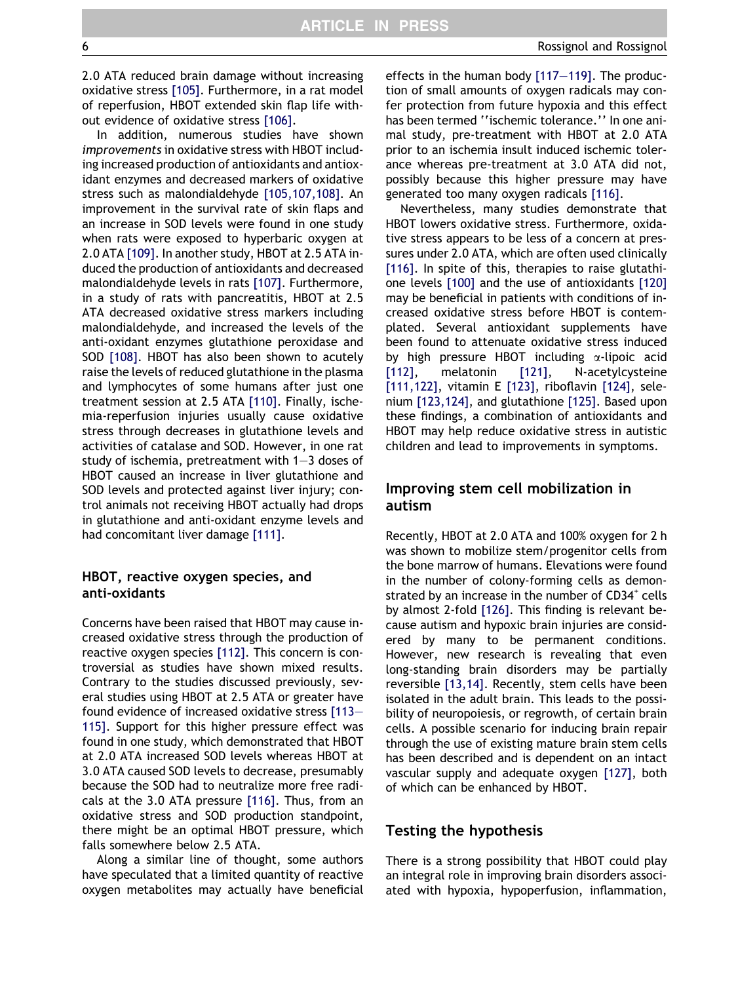2.0 ATA reduced brain damage without increasing oxidative stress [\[105\]](#page-12-0). Furthermore, in a rat model of reperfusion, HBOT extended skin flap life without evidence of oxidative stress [\[106\].](#page-12-0)

In addition, numerous studies have shown improvements in oxidative stress with HBOT including increased production of antioxidants and antioxidant enzymes and decreased markers of oxidative stress such as malondialdehyde [\[105,107,108\]](#page-12-0). An improvement in the survival rate of skin flaps and an increase in SOD levels were found in one study when rats were exposed to hyperbaric oxygen at 2.0 ATA [\[109\]](#page-12-0). In another study, HBOT at 2.5 ATA induced the production of antioxidants and decreased malondialdehyde levels in rats [\[107\]](#page-12-0). Furthermore, in a study of rats with pancreatitis, HBOT at 2.5 ATA decreased oxidative stress markers including malondialdehyde, and increased the levels of the anti-oxidant enzymes glutathione peroxidase and SOD [\[108\]](#page-12-0). HBOT has also been shown to acutely raise the levels of reduced glutathione in the plasma and lymphocytes of some humans after just one treatment session at 2.5 ATA [\[110\].](#page-12-0) Finally, ischemia-reperfusion injuries usually cause oxidative stress through decreases in glutathione levels and activities of catalase and SOD. However, in one rat study of ischemia, pretreatment with 1–3 doses of HBOT caused an increase in liver glutathione and SOD levels and protected against liver injury; control animals not receiving HBOT actually had drops in glutathione and anti-oxidant enzyme levels and had concomitant liver damage [\[111\].](#page-12-0)

## HBOT, reactive oxygen species, and anti-oxidants

Concerns have been raised that HBOT may cause increased oxidative stress through the production of reactive oxygen species [\[112\]](#page-12-0). This concern is controversial as studies have shown mixed results. Contrary to the studies discussed previously, several studies using HBOT at 2.5 ATA or greater have found evidence of increased oxidative stress [\[113–](#page-12-0) [115\].](#page-12-0) Support for this higher pressure effect was found in one study, which demonstrated that HBOT at 2.0 ATA increased SOD levels whereas HBOT at 3.0 ATA caused SOD levels to decrease, presumably because the SOD had to neutralize more free radicals at the 3.0 ATA pressure [\[116\]](#page-12-0). Thus, from an oxidative stress and SOD production standpoint, there might be an optimal HBOT pressure, which falls somewhere below 2.5 ATA.

Along a similar line of thought, some authors have speculated that a limited quantity of reactive oxygen metabolites may actually have beneficial effects in the human body [\[117–119\].](#page-12-0) The production of small amounts of oxygen radicals may confer protection from future hypoxia and this effect has been termed ''ischemic tolerance.'' In one animal study, pre-treatment with HBOT at 2.0 ATA prior to an ischemia insult induced ischemic tolerance whereas pre-treatment at 3.0 ATA did not, possibly because this higher pressure may have generated too many oxygen radicals [\[116\]](#page-12-0).

Nevertheless, many studies demonstrate that HBOT lowers oxidative stress. Furthermore, oxidative stress appears to be less of a concern at pressures under 2.0 ATA, which are often used clinically [\[116\]](#page-12-0). In spite of this, therapies to raise glutathione levels [\[100\]](#page-12-0) and the use of antioxidants [\[120\]](#page-12-0) may be beneficial in patients with conditions of increased oxidative stress before HBOT is contemplated. Several antioxidant supplements have been found to attenuate oxidative stress induced by high pressure HBOT including  $\alpha$ -lipoic acid [\[112\]](#page-12-0), melatonin [\[121\]](#page-12-0), N-acetylcysteine [\[111,122\],](#page-12-0) vitamin E [\[123\],](#page-12-0) riboflavin [\[124\]](#page-12-0), selenium [\[123,124\],](#page-12-0) and glutathione [\[125\]](#page-12-0). Based upon these findings, a combination of antioxidants and HBOT may help reduce oxidative stress in autistic children and lead to improvements in symptoms.

## Improving stem cell mobilization in autism

Recently, HBOT at 2.0 ATA and 100% oxygen for 2 h was shown to mobilize stem/progenitor cells from the bone marrow of humans. Elevations were found in the number of colony-forming cells as demonstrated by an increase in the number of CD34<sup>+</sup> cells by almost 2-fold [\[126\]](#page-12-0). This finding is relevant because autism and hypoxic brain injuries are considered by many to be permanent conditions. However, new research is revealing that even long-standing brain disorders may be partially reversible [\[13,14\].](#page-9-0) Recently, stem cells have been isolated in the adult brain. This leads to the possibility of neuropoiesis, or regrowth, of certain brain cells. A possible scenario for inducing brain repair through the use of existing mature brain stem cells has been described and is dependent on an intact vascular supply and adequate oxygen [\[127\]](#page-12-0), both of which can be enhanced by HBOT.

## Testing the hypothesis

There is a strong possibility that HBOT could play an integral role in improving brain disorders associated with hypoxia, hypoperfusion, inflammation,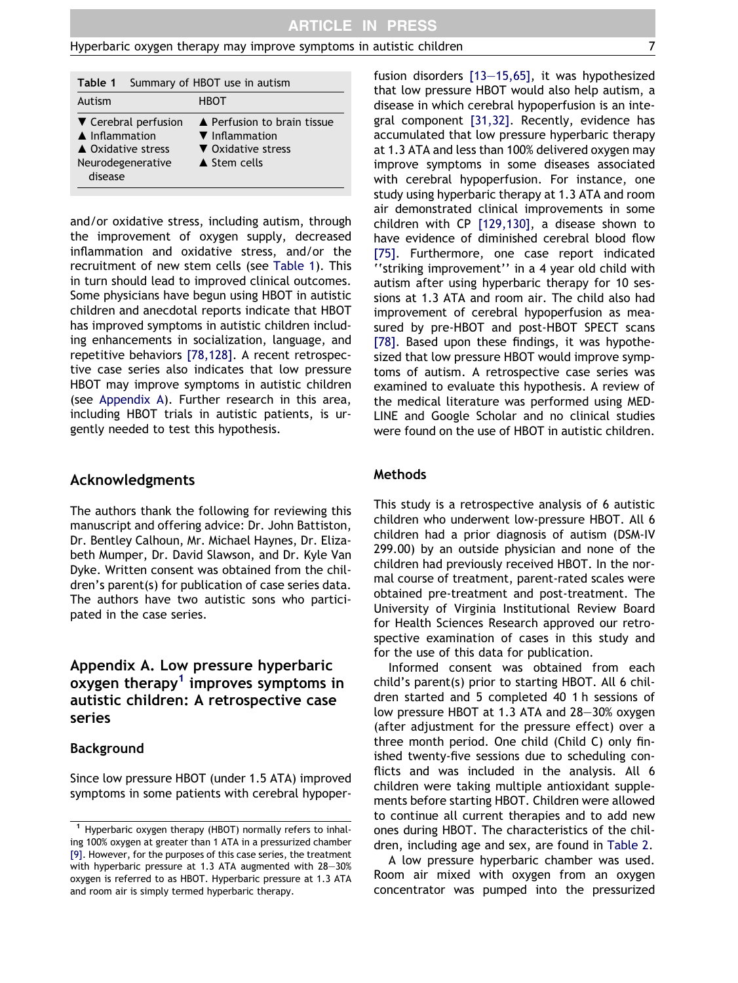| Table 1                                                                                                | Summary of HBOT use in autism |                                                                                               |  |  |  |
|--------------------------------------------------------------------------------------------------------|-------------------------------|-----------------------------------------------------------------------------------------------|--|--|--|
| Autism                                                                                                 | <b>HBOT</b>                   |                                                                                               |  |  |  |
| ▼ Cerebral perfusion<br>$\triangle$ Inflammation<br>▲ Oxidative stress<br>Neurodegenerative<br>disease |                               | ▲ Perfusion to brain tissue<br>▼ Inflammation<br>▼ Oxidative stress<br>$\triangle$ Stem cells |  |  |  |

and/or oxidative stress, including autism, through the improvement of oxygen supply, decreased inflammation and oxidative stress, and/or the recruitment of new stem cells (see Table 1). This in turn should lead to improved clinical outcomes. Some physicians have begun using HBOT in autistic children and anecdotal reports indicate that HBOT has improved symptoms in autistic children including enhancements in socialization, language, and repetitive behaviors [\[78,128\].](#page-11-0) A recent retrospective case series also indicates that low pressure HBOT may improve symptoms in autistic children (see Appendix A). Further research in this area, including HBOT trials in autistic patients, is urgently needed to test this hypothesis.

#### Acknowledgments

The authors thank the following for reviewing this manuscript and offering advice: Dr. John Battiston, Dr. Bentley Calhoun, Mr. Michael Haynes, Dr. Elizabeth Mumper, Dr. David Slawson, and Dr. Kyle Van Dyke. Written consent was obtained from the children's parent(s) for publication of case series data. The authors have two autistic sons who participated in the case series.

# Appendix A. Low pressure hyperbaric oxygen therapy<sup>1</sup> improves symptoms in autistic children: A retrospective case series

#### Background

Since low pressure HBOT (under 1.5 ATA) improved symptoms in some patients with cerebral hypoperfusion disorders [\[13–15,65\]](#page-9-0), it was hypothesized that low pressure HBOT would also help autism, a disease in which cerebral hypoperfusion is an integral component [\[31,32\]](#page-10-0). Recently, evidence has accumulated that low pressure hyperbaric therapy at 1.3 ATA and less than 100% delivered oxygen may improve symptoms in some diseases associated with cerebral hypoperfusion. For instance, one study using hyperbaric therapy at 1.3 ATA and room air demonstrated clinical improvements in some children with CP [\[129,130\]](#page-12-0), a disease shown to have evidence of diminished cerebral blood flow [\[75\]](#page-11-0). Furthermore, one case report indicated ''striking improvement'' in a 4 year old child with autism after using hyperbaric therapy for 10 sessions at 1.3 ATA and room air. The child also had improvement of cerebral hypoperfusion as measured by pre-HBOT and post-HBOT SPECT scans [\[78\]](#page-11-0). Based upon these findings, it was hypothesized that low pressure HBOT would improve symptoms of autism. A retrospective case series was examined to evaluate this hypothesis. A review of the medical literature was performed using MED-LINE and Google Scholar and no clinical studies were found on the use of HBOT in autistic children.

#### Methods

This study is a retrospective analysis of 6 autistic children who underwent low-pressure HBOT. All 6 children had a prior diagnosis of autism (DSM-IV 299.00) by an outside physician and none of the children had previously received HBOT. In the normal course of treatment, parent-rated scales were obtained pre-treatment and post-treatment. The University of Virginia Institutional Review Board for Health Sciences Research approved our retrospective examination of cases in this study and for the use of this data for publication.

Informed consent was obtained from each child's parent(s) prior to starting HBOT. All 6 children started and 5 completed 40 1 h sessions of low pressure HBOT at 1.3 ATA and 28–30% oxygen (after adjustment for the pressure effect) over a three month period. One child (Child C) only finished twenty-five sessions due to scheduling conflicts and was included in the analysis. All 6 children were taking multiple antioxidant supplements before starting HBOT. Children were allowed to continue all current therapies and to add new ones during HBOT. The characteristics of the children, including age and sex, are found in [Table 2.](#page-7-0)

A low pressure hyperbaric chamber was used. Room air mixed with oxygen from an oxygen concentrator was pumped into the pressurized

<sup>1</sup> Hyperbaric oxygen therapy (HBOT) normally refers to inhaling 100% oxygen at greater than 1 ATA in a pressurized chamber [\[9\].](#page-9-0) However, for the purposes of this case series, the treatment with hyperbaric pressure at 1.3 ATA augmented with 28–30% oxygen is referred to as HBOT. Hyperbaric pressure at 1.3 ATA and room air is simply termed hyperbaric therapy.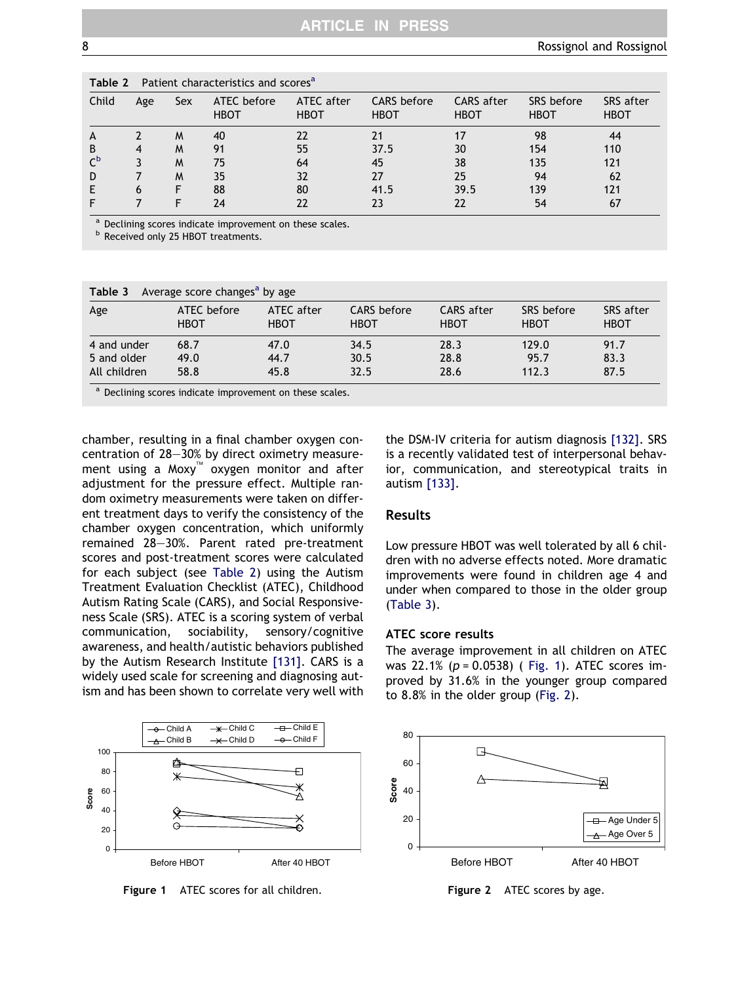| Table 2<br>Patient characteristics and scores |     |     |                            |                           |                                   |                                  |                           |                          |  |
|-----------------------------------------------|-----|-----|----------------------------|---------------------------|-----------------------------------|----------------------------------|---------------------------|--------------------------|--|
| Child                                         | Age | Sex | ATEC before<br><b>HBOT</b> | ATEC after<br><b>HBOT</b> | <b>CARS</b> before<br><b>HBOT</b> | <b>CARS</b> after<br><b>HBOT</b> | SRS before<br><b>HBOT</b> | SRS after<br><b>HBOT</b> |  |
| A                                             |     | M   | 40                         | 22                        |                                   | 17                               | 98                        | 44                       |  |
| B                                             | 4   | M   | 91                         | 55                        | 37.5                              | 30                               | 154                       | 110                      |  |
| $\mathsf{C}^{\mathsf{b}}$                     |     | M   | 75                         | 64                        | 45                                | 38                               | 135                       | 121                      |  |
| D                                             |     | M   | 35                         | 32                        | 27                                | 25                               | 94                        | 62                       |  |
|                                               | 6   | F   | 88                         | 80                        | 41.5                              | 39.5                             | 139                       | 121                      |  |
|                                               |     |     | 24                         | 22                        | 23                                | 22                               | 54                        | 67                       |  |

<span id="page-7-0"></span>Table 2 Patient characteristics and scores<sup>a</sup>

<sup>a</sup> Declining scores indicate improvement on these scales.

**b** Received only 25 HBOT treatments.

| Table 3<br>Average score changes <sup>a</sup> by age |                             |                           |                            |                           |                           |                          |  |  |  |  |
|------------------------------------------------------|-----------------------------|---------------------------|----------------------------|---------------------------|---------------------------|--------------------------|--|--|--|--|
| Age                                                  | ATEC before<br><b>HBOT</b>  | ATEC after<br><b>HBOT</b> | CARS before<br><b>HBOT</b> | CARS after<br><b>HBOT</b> | SRS before<br><b>HBOT</b> | SRS after<br><b>HBOT</b> |  |  |  |  |
| 4 and under                                          | 68.7                        | 47.0                      | 34.5                       | 28.3                      | 129.0                     | 91.7                     |  |  |  |  |
| 5 and older                                          | 49.0                        | 44.7                      | 30.5                       | 28.8                      | 95.7                      | 83.3                     |  |  |  |  |
| All children                                         | 58.8                        | 45.8                      | 32.5                       | 28.6                      | 112.3                     | 87.5                     |  |  |  |  |
| $\bullet - \bullet \bullet \bullet$                  | $\sim$ $\sim$ $\sim$ $\sim$ |                           |                            |                           |                           |                          |  |  |  |  |

Declining scores indicate improvement on these scales.

chamber, resulting in a final chamber oxygen concentration of 28–30% by direct oximetry measurement using a Moxy<sup>™</sup> oxygen monitor and after adjustment for the pressure effect. Multiple random oximetry measurements were taken on different treatment days to verify the consistency of the chamber oxygen concentration, which uniformly remained 28–30%. Parent rated pre-treatment scores and post-treatment scores were calculated for each subject (see Table 2) using the Autism Treatment Evaluation Checklist (ATEC), Childhood Autism Rating Scale (CARS), and Social Responsiveness Scale (SRS). ATEC is a scoring system of verbal communication, sociability, sensory/cognitive awareness, and health/autistic behaviors published by the Autism Research Institute [\[131\]](#page-12-0). CARS is a widely used scale for screening and diagnosing autism and has been shown to correlate very well with

the DSM-IV criteria for autism diagnosis [\[132\]](#page-12-0). SRS is a recently validated test of interpersonal behavior, communication, and stereotypical traits in autism [\[133\]](#page-12-0).

## Results

Low pressure HBOT was well tolerated by all 6 children with no adverse effects noted. More dramatic improvements were found in children age 4 and under when compared to those in the older group (Table 3).

#### ATEC score results

The average improvement in all children on ATEC was 22.1% ( $p = 0.0538$ ) (Fig. 1). ATEC scores improved by 31.6% in the younger group compared to 8.8% in the older group (Fig. 2).



Figure 1 ATEC scores for all children.



Figure 2 ATEC scores by age.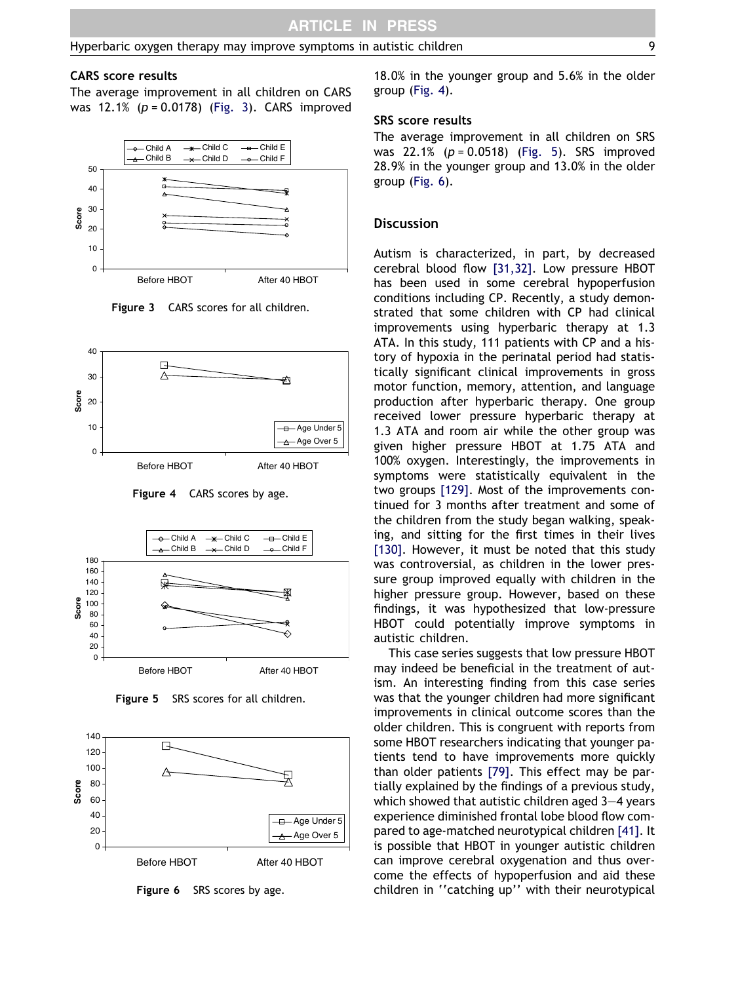#### CARS score results

The average improvement in all children on CARS was  $12.1\%$  ( $p = 0.0178$ ) (Fig. 3). CARS improved



Figure 3 CARS scores for all children.



Figure 4 CARS scores by age.



Figure 5 SRS scores for all children.



Figure 6 SRS scores by age.

18.0% in the younger group and 5.6% in the older group (Fig. 4).

#### SRS score results

The average improvement in all children on SRS was  $22.1\%$  ( $p = 0.0518$ ) (Fig. 5). SRS improved 28.9% in the younger group and 13.0% in the older group (Fig. 6).

#### **Discussion**

Autism is characterized, in part, by decreased cerebral blood flow [\[31,32\].](#page-10-0) Low pressure HBOT has been used in some cerebral hypoperfusion conditions including CP. Recently, a study demonstrated that some children with CP had clinical improvements using hyperbaric therapy at 1.3 ATA. In this study, 111 patients with CP and a history of hypoxia in the perinatal period had statistically significant clinical improvements in gross motor function, memory, attention, and language production after hyperbaric therapy. One group received lower pressure hyperbaric therapy at 1.3 ATA and room air while the other group was given higher pressure HBOT at 1.75 ATA and 100% oxygen. Interestingly, the improvements in symptoms were statistically equivalent in the two groups [\[129\]](#page-12-0). Most of the improvements continued for 3 months after treatment and some of the children from the study began walking, speaking, and sitting for the first times in their lives [\[130\].](#page-12-0) However, it must be noted that this study was controversial, as children in the lower pressure group improved equally with children in the higher pressure group. However, based on these findings, it was hypothesized that low-pressure HBOT could potentially improve symptoms in autistic children.

This case series suggests that low pressure HBOT may indeed be beneficial in the treatment of autism. An interesting finding from this case series was that the younger children had more significant improvements in clinical outcome scores than the older children. This is congruent with reports from some HBOT researchers indicating that younger patients tend to have improvements more quickly than older patients [\[79\]](#page-11-0). This effect may be partially explained by the findings of a previous study, which showed that autistic children aged 3–4 years experience diminished frontal lobe blood flow compared to age-matched neurotypical children [\[41\]](#page-10-0). It is possible that HBOT in younger autistic children can improve cerebral oxygenation and thus overcome the effects of hypoperfusion and aid these children in ''catching up'' with their neurotypical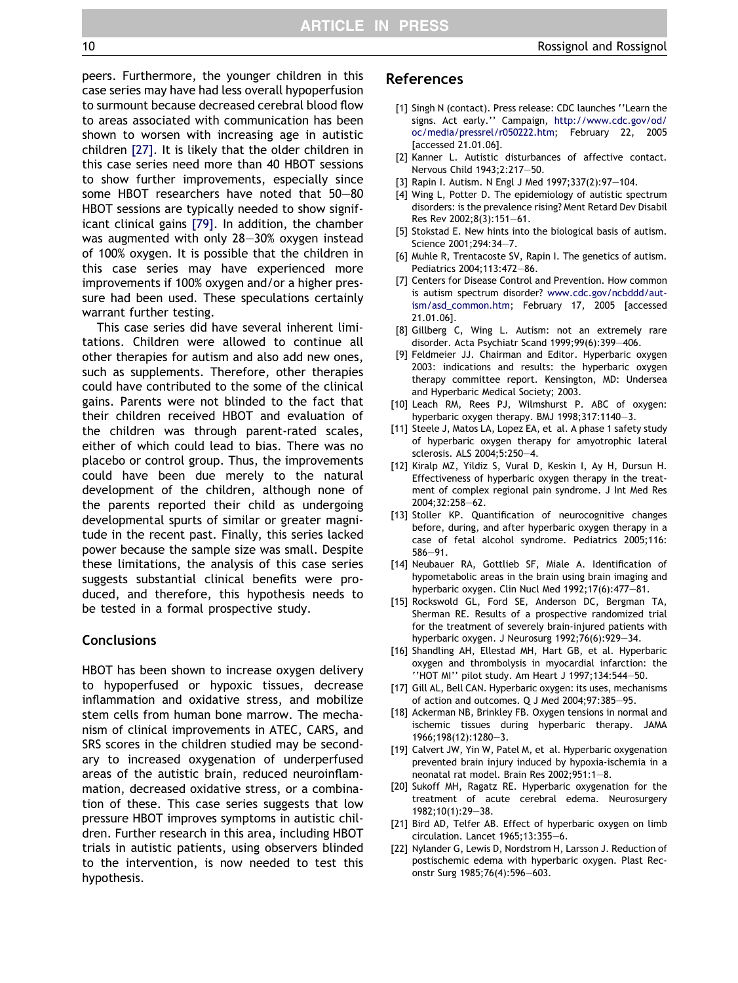<span id="page-9-0"></span>peers. Furthermore, the younger children in this case series may have had less overall hypoperfusion to surmount because decreased cerebral blood flow to areas associated with communication has been shown to worsen with increasing age in autistic children [\[27\].](#page-10-0) It is likely that the older children in this case series need more than 40 HBOT sessions to show further improvements, especially since some HBOT researchers have noted that 50–80 HBOT sessions are typically needed to show significant clinical gains [\[79\]](#page-11-0). In addition, the chamber was augmented with only 28–30% oxygen instead of 100% oxygen. It is possible that the children in this case series may have experienced more improvements if 100% oxygen and/or a higher pressure had been used. These speculations certainly warrant further testing.

This case series did have several inherent limitations. Children were allowed to continue all other therapies for autism and also add new ones, such as supplements. Therefore, other therapies could have contributed to the some of the clinical gains. Parents were not blinded to the fact that their children received HBOT and evaluation of the children was through parent-rated scales, either of which could lead to bias. There was no placebo or control group. Thus, the improvements could have been due merely to the natural development of the children, although none of the parents reported their child as undergoing developmental spurts of similar or greater magnitude in the recent past. Finally, this series lacked power because the sample size was small. Despite these limitations, the analysis of this case series suggests substantial clinical benefits were produced, and therefore, this hypothesis needs to be tested in a formal prospective study.

## **Conclusions**

HBOT has been shown to increase oxygen delivery to hypoperfused or hypoxic tissues, decrease inflammation and oxidative stress, and mobilize stem cells from human bone marrow. The mechanism of clinical improvements in ATEC, CARS, and SRS scores in the children studied may be secondary to increased oxygenation of underperfused areas of the autistic brain, reduced neuroinflammation, decreased oxidative stress, or a combination of these. This case series suggests that low pressure HBOT improves symptoms in autistic children. Further research in this area, including HBOT trials in autistic patients, using observers blinded to the intervention, is now needed to test this hypothesis.

#### References

- [1] Singh N (contact). Press release: CDC launches "Learn the signs. Act early.'' Campaign, [http://www.cdc.gov/od/](http://www.cdc.gov/od/oc/media/pressrel/r050222.htm) [oc/media/pressrel/r050222.htm;](http://www.cdc.gov/od/oc/media/pressrel/r050222.htm) February 22, 2005 [accessed 21.01.06].
- [2] Kanner L. Autistic disturbances of affective contact. Nervous Child 1943;2:217–50.
- [3] Rapin I. Autism. N Engl J Med 1997;337(2):97–104.
- [4] Wing L, Potter D. The epidemiology of autistic spectrum disorders: is the prevalence rising? Ment Retard Dev Disabil Res Rev 2002;8(3):151–61.
- [5] Stokstad E. New hints into the biological basis of autism. Science 2001;294:34–7.
- [6] Muhle R, Trentacoste SV, Rapin I. The genetics of autism. Pediatrics 2004;113:472–86.
- [7] Centers for Disease Control and Prevention. How common is autism spectrum disorder? [www.cdc.gov/ncbddd/aut](http://www.cdc.gov/ncbddd/autism/asd_common.htm)[ism/asd\\_common.htm;](http://www.cdc.gov/ncbddd/autism/asd_common.htm) February 17, 2005 [accessed 21.01.06].
- [8] Gillberg C, Wing L. Autism: not an extremely rare disorder. Acta Psychiatr Scand 1999;99(6):399–406.
- [9] Feldmeier JJ. Chairman and Editor. Hyperbaric oxygen 2003: indications and results: the hyperbaric oxygen therapy committee report. Kensington, MD: Undersea and Hyperbaric Medical Society; 2003.
- [10] Leach RM, Rees PJ, Wilmshurst P. ABC of oxygen: hyperbaric oxygen therapy. BMJ 1998;317:1140–3.
- [11] Steele J, Matos LA, Lopez EA, et al. A phase 1 safety study of hyperbaric oxygen therapy for amyotrophic lateral sclerosis. ALS 2004;5:250–4.
- [12] Kiralp MZ, Yildiz S, Vural D, Keskin I, Ay H, Dursun H. Effectiveness of hyperbaric oxygen therapy in the treatment of complex regional pain syndrome. J Int Med Res 2004;32:258–62.
- [13] Stoller KP. Quantification of neurocognitive changes before, during, and after hyperbaric oxygen therapy in a case of fetal alcohol syndrome. Pediatrics 2005;116: 586–91.
- [14] Neubauer RA, Gottlieb SF, Miale A. Identification of hypometabolic areas in the brain using brain imaging and hyperbaric oxygen. Clin Nucl Med 1992;17(6):477–81.
- [15] Rockswold GL, Ford SE, Anderson DC, Bergman TA, Sherman RE. Results of a prospective randomized trial for the treatment of severely brain-injured patients with hyperbaric oxygen. J Neurosurg 1992;76(6):929–34.
- [16] Shandling AH, Ellestad MH, Hart GB, et al. Hyperbaric oxygen and thrombolysis in myocardial infarction: the ''HOT MI'' pilot study. Am Heart J 1997;134:544–50.
- [17] Gill AL, Bell CAN. Hyperbaric oxygen: its uses, mechanisms of action and outcomes. Q J Med 2004;97:385–95.
- [18] Ackerman NB, Brinkley FB. Oxygen tensions in normal and ischemic tissues during hyperbaric therapy. JAMA 1966;198(12):1280–3.
- [19] Calvert JW, Yin W, Patel M, et al. Hyperbaric oxygenation prevented brain injury induced by hypoxia-ischemia in a neonatal rat model. Brain Res 2002;951:1–8.
- [20] Sukoff MH, Ragatz RE. Hyperbaric oxygenation for the treatment of acute cerebral edema. Neurosurgery 1982;10(1):29–38.
- [21] Bird AD, Telfer AB. Effect of hyperbaric oxygen on limb circulation. Lancet 1965;13:355–6.
- [22] Nylander G, Lewis D, Nordstrom H, Larsson J. Reduction of postischemic edema with hyperbaric oxygen. Plast Reconstr Surg 1985;76(4):596–603.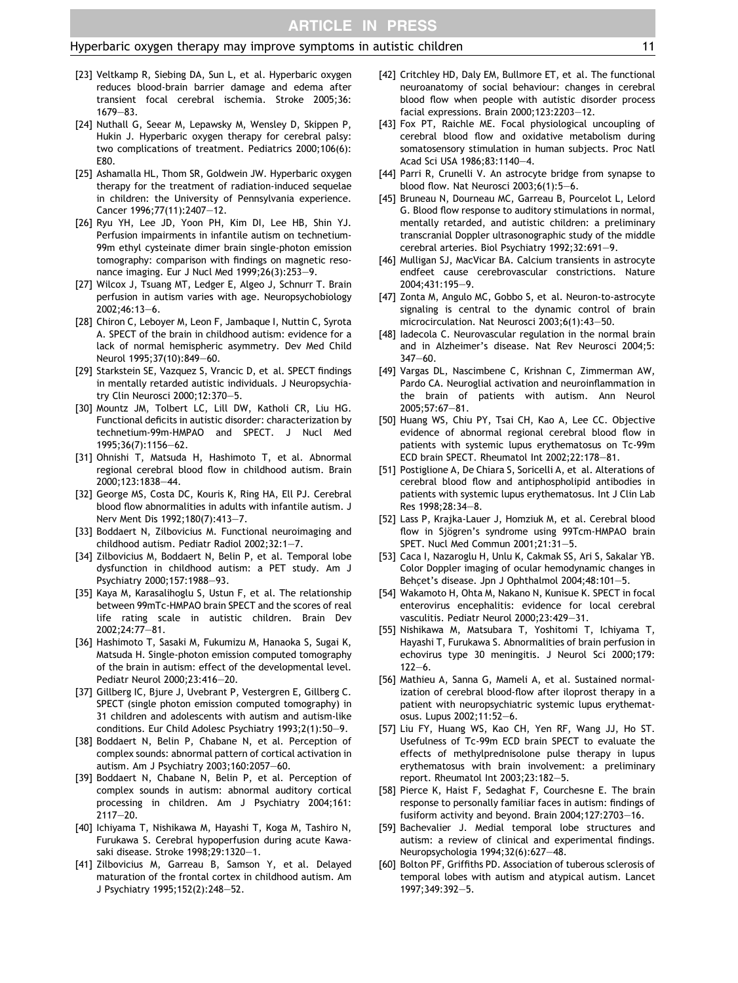- <span id="page-10-0"></span>[23] Veltkamp R, Siebing DA, Sun L, et al. Hyperbaric oxygen reduces blood-brain barrier damage and edema after transient focal cerebral ischemia. Stroke 2005;36: 1679–83.
- [24] Nuthall G, Seear M, Lepawsky M, Wensley D, Skippen P, Hukin J. Hyperbaric oxygen therapy for cerebral palsy: two complications of treatment. Pediatrics 2000;106(6): E80.
- [25] Ashamalla HL, Thom SR, Goldwein JW. Hyperbaric oxygen therapy for the treatment of radiation-induced sequelae in children: the University of Pennsylvania experience. Cancer 1996;77(11):2407–12.
- [26] Ryu YH, Lee JD, Yoon PH, Kim DI, Lee HB, Shin YJ. Perfusion impairments in infantile autism on technetium-99m ethyl cysteinate dimer brain single-photon emission tomography: comparison with findings on magnetic resonance imaging. Eur J Nucl Med 1999;26(3):253–9.
- [27] Wilcox J, Tsuang MT, Ledger E, Algeo J, Schnurr T. Brain perfusion in autism varies with age. Neuropsychobiology 2002;46:13–6.
- [28] Chiron C, Leboyer M, Leon F, Jambaque I, Nuttin C, Syrota A. SPECT of the brain in childhood autism: evidence for a lack of normal hemispheric asymmetry. Dev Med Child Neurol 1995;37(10):849–60.
- [29] Starkstein SE, Vazquez S, Vrancic D, et al. SPECT findings in mentally retarded autistic individuals. J Neuropsychiatry Clin Neurosci 2000;12:370–5.
- [30] Mountz JM, Tolbert LC, Lill DW, Katholi CR, Liu HG. Functional deficits in autistic disorder: characterization by technetium-99m-HMPAO and SPECT. J Nucl Med 1995;36(7):1156–62.
- [31] Ohnishi T, Matsuda H, Hashimoto T, et al. Abnormal regional cerebral blood flow in childhood autism. Brain 2000;123:1838–44.
- [32] George MS, Costa DC, Kouris K, Ring HA, Ell PJ. Cerebral blood flow abnormalities in adults with infantile autism. J Nerv Ment Dis 1992;180(7):413–7.
- [33] Boddaert N, Zilbovicius M. Functional neuroimaging and childhood autism. Pediatr Radiol 2002;32:1–7.
- [34] Zilbovicius M, Boddaert N, Belin P, et al. Temporal lobe dysfunction in childhood autism: a PET study. Am J Psychiatry 2000;157:1988–93.
- [35] Kaya M, Karasalihoglu S, Ustun F, et al. The relationship between 99mTc-HMPAO brain SPECT and the scores of real life rating scale in autistic children. Brain Dev 2002;24:77–81.
- [36] Hashimoto T, Sasaki M, Fukumizu M, Hanaoka S, Sugai K, Matsuda H. Single-photon emission computed tomography of the brain in autism: effect of the developmental level. Pediatr Neurol 2000;23:416–20.
- [37] Gillberg IC, Bjure J, Uvebrant P, Vestergren E, Gillberg C. SPECT (single photon emission computed tomography) in 31 children and adolescents with autism and autism-like conditions. Eur Child Adolesc Psychiatry 1993;2(1):50–9.
- [38] Boddaert N, Belin P, Chabane N, et al. Perception of complex sounds: abnormal pattern of cortical activation in autism. Am J Psychiatry 2003;160:2057–60.
- [39] Boddaert N, Chabane N, Belin P, et al. Perception of complex sounds in autism: abnormal auditory cortical processing in children. Am J Psychiatry 2004;161: 2117–20.
- [40] Ichiyama T, Nishikawa M, Hayashi T, Koga M, Tashiro N, Furukawa S. Cerebral hypoperfusion during acute Kawasaki disease. Stroke 1998;29:1320–1.
- [41] Zilbovicius M, Garreau B, Samson Y, et al. Delayed maturation of the frontal cortex in childhood autism. Am J Psychiatry 1995;152(2):248–52.
- [42] Critchley HD, Daly EM, Bullmore ET, et al. The functional neuroanatomy of social behaviour: changes in cerebral blood flow when people with autistic disorder process facial expressions. Brain 2000;123:2203–12.
- [43] Fox PT, Raichle ME. Focal physiological uncoupling of cerebral blood flow and oxidative metabolism during somatosensory stimulation in human subjects. Proc Natl Acad Sci USA 1986;83:1140–4.
- [44] Parri R, Crunelli V. An astrocyte bridge from synapse to blood flow. Nat Neurosci 2003;6(1):5–6.
- [45] Bruneau N, Dourneau MC, Garreau B, Pourcelot L, Lelord G. Blood flow response to auditory stimulations in normal, mentally retarded, and autistic children: a preliminary transcranial Doppler ultrasonographic study of the middle cerebral arteries. Biol Psychiatry 1992;32:691–9.
- [46] Mulligan SJ, MacVicar BA. Calcium transients in astrocyte endfeet cause cerebrovascular constrictions. Nature 2004;431:195–9.
- [47] Zonta M, Angulo MC, Gobbo S, et al. Neuron-to-astrocyte signaling is central to the dynamic control of brain microcirculation. Nat Neurosci 2003;6(1):43–50.
- [48] Iadecola C. Neurovascular regulation in the normal brain and in Alzheimer's disease. Nat Rev Neurosci 2004;5: 347–60.
- [49] Vargas DL, Nascimbene C, Krishnan C, Zimmerman AW, Pardo CA. Neuroglial activation and neuroinflammation in the brain of patients with autism. Ann Neurol 2005;57:67–81.
- [50] Huang WS, Chiu PY, Tsai CH, Kao A, Lee CC. Objective evidence of abnormal regional cerebral blood flow in patients with systemic lupus erythematosus on Tc-99m ECD brain SPECT. Rheumatol Int 2002;22:178–81.
- [51] Postiglione A, De Chiara S, Soricelli A, et al. Alterations of cerebral blood flow and antiphospholipid antibodies in patients with systemic lupus erythematosus. Int J Clin Lab Res 1998;28:34–8.
- [52] Lass P, Krajka-Lauer J, Homziuk M, et al. Cerebral blood flow in Sjögren's syndrome using 99Tcm-HMPAO brain SPET. Nucl Med Commun 2001;21:31–5.
- [53] Caca I, Nazaroglu H, Unlu K, Cakmak SS, Ari S, Sakalar YB. Color Doppler imaging of ocular hemodynamic changes in Behcet's disease. Jpn J Ophthalmol 2004;48:101-5.
- [54] Wakamoto H, Ohta M, Nakano N, Kunisue K. SPECT in focal enterovirus encephalitis: evidence for local cerebral vasculitis. Pediatr Neurol 2000;23:429–31.
- [55] Nishikawa M, Matsubara T, Yoshitomi T, Ichiyama T, Hayashi T, Furukawa S. Abnormalities of brain perfusion in echovirus type 30 meningitis. J Neurol Sci 2000;179: 122–6.
- [56] Mathieu A, Sanna G, Mameli A, et al. Sustained normalization of cerebral blood-flow after iloprost therapy in a patient with neuropsychiatric systemic lupus erythematosus. Lupus 2002;11:52–6.
- [57] Liu FY, Huang WS, Kao CH, Yen RF, Wang JJ, Ho ST. Usefulness of Tc-99m ECD brain SPECT to evaluate the effects of methylprednisolone pulse therapy in lupus erythematosus with brain involvement: a preliminary report. Rheumatol Int 2003;23:182–5.
- [58] Pierce K, Haist F, Sedaghat F, Courchesne E. The brain response to personally familiar faces in autism: findings of fusiform activity and beyond. Brain 2004;127:2703–16.
- [59] Bachevalier J. Medial temporal lobe structures and autism: a review of clinical and experimental findings. Neuropsychologia 1994;32(6):627–48.
- [60] Bolton PF, Griffiths PD. Association of tuberous sclerosis of temporal lobes with autism and atypical autism. Lancet 1997;349:392–5.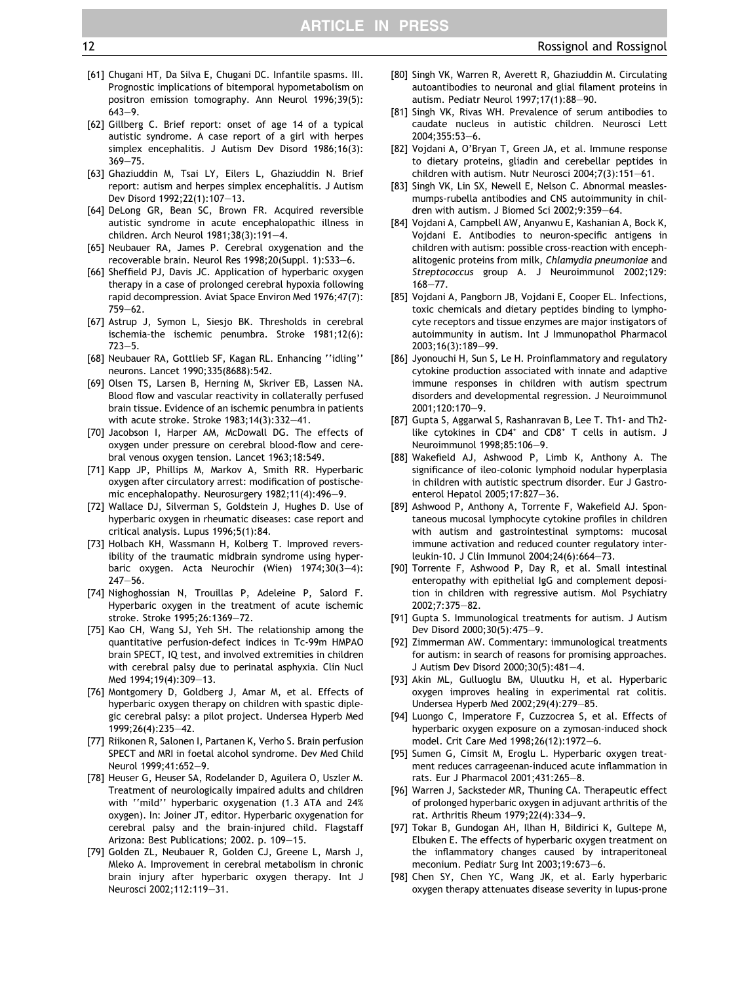- <span id="page-11-0"></span>[61] Chugani HT, Da Silva E, Chugani DC. Infantile spasms. III. Prognostic implications of bitemporal hypometabolism on positron emission tomography. Ann Neurol 1996;39(5): 643–9.
- [62] Gillberg C. Brief report: onset of age 14 of a typical autistic syndrome. A case report of a girl with herpes simplex encephalitis. J Autism Dev Disord 1986;16(3): 369–75.
- [63] Ghaziuddin M, Tsai LY, Eilers L, Ghaziuddin N. Brief report: autism and herpes simplex encephalitis. J Autism Dev Disord 1992;22(1):107–13.
- [64] DeLong GR, Bean SC, Brown FR. Acquired reversible autistic syndrome in acute encephalopathic illness in children. Arch Neurol 1981;38(3):191–4.
- [65] Neubauer RA, James P. Cerebral oxygenation and the recoverable brain. Neurol Res 1998;20(Suppl. 1):S33–6.
- [66] Sheffield PJ, Davis JC. Application of hyperbaric oxygen therapy in a case of prolonged cerebral hypoxia following rapid decompression. Aviat Space Environ Med 1976;47(7): 759–62.
- [67] Astrup J, Symon L, Siesjo BK. Thresholds in cerebral ischemia—the ischemic penumbra. Stroke 1981;12(6): 723–5.
- [68] Neubauer RA, Gottlieb SF, Kagan RL. Enhancing ''idling'' neurons. Lancet 1990;335(8688):542.
- [69] Olsen TS, Larsen B, Herning M, Skriver EB, Lassen NA. Blood flow and vascular reactivity in collaterally perfused brain tissue. Evidence of an ischemic penumbra in patients with acute stroke. Stroke 1983;14(3):332–41.
- [70] Jacobson I, Harper AM, McDowall DG. The effects of oxygen under pressure on cerebral blood-flow and cerebral venous oxygen tension. Lancet 1963;18:549.
- [71] Kapp JP, Phillips M, Markov A, Smith RR. Hyperbaric oxygen after circulatory arrest: modification of postischemic encephalopathy. Neurosurgery 1982;11(4):496–9.
- [72] Wallace DJ, Silverman S, Goldstein J, Hughes D. Use of hyperbaric oxygen in rheumatic diseases: case report and critical analysis. Lupus 1996;5(1):84.
- [73] Holbach KH, Wassmann H, Kolberg T. Improved reversibility of the traumatic midbrain syndrome using hyperbaric oxygen. Acta Neurochir (Wien) 1974;30(3–4): 247–56.
- [74] Nighoghossian N, Trouillas P, Adeleine P, Salord F. Hyperbaric oxygen in the treatment of acute ischemic stroke. Stroke 1995;26:1369–72.
- [75] Kao CH, Wang SJ, Yeh SH. The relationship among the quantitative perfusion-defect indices in Tc-99m HMPAO brain SPECT, IQ test, and involved extremities in children with cerebral palsy due to perinatal asphyxia. Clin Nucl Med 1994;19(4):309–13.
- [76] Montgomery D, Goldberg J, Amar M, et al. Effects of hyperbaric oxygen therapy on children with spastic diplegic cerebral palsy: a pilot project. Undersea Hyperb Med 1999;26(4):235–42.
- [77] Riikonen R, Salonen I, Partanen K, Verho S. Brain perfusion SPECT and MRI in foetal alcohol syndrome. Dev Med Child Neurol 1999;41:652–9.
- [78] Heuser G, Heuser SA, Rodelander D, Aguilera O, Uszler M. Treatment of neurologically impaired adults and children with ''mild'' hyperbaric oxygenation (1.3 ATA and 24% oxygen). In: Joiner JT, editor. Hyperbaric oxygenation for cerebral palsy and the brain-injured child. Flagstaff Arizona: Best Publications; 2002. p. 109–15.
- [79] Golden ZL, Neubauer R, Golden CJ, Greene L, Marsh J, Mleko A. Improvement in cerebral metabolism in chronic brain injury after hyperbaric oxygen therapy. Int J Neurosci 2002;112:119–31.
- [80] Singh VK, Warren R, Averett R, Ghaziuddin M. Circulating autoantibodies to neuronal and glial filament proteins in autism. Pediatr Neurol 1997;17(1):88–90.
- [81] Singh VK, Rivas WH. Prevalence of serum antibodies to caudate nucleus in autistic children. Neurosci Lett 2004;355:53–6.
- [82] Vojdani A, O'Bryan T, Green JA, et al. Immune response to dietary proteins, gliadin and cerebellar peptides in children with autism. Nutr Neurosci 2004;7(3):151–61.
- [83] Singh VK, Lin SX, Newell E, Nelson C. Abnormal measlesmumps-rubella antibodies and CNS autoimmunity in children with autism. J Biomed Sci 2002;9:359–64.
- [84] Vojdani A, Campbell AW, Anyanwu E, Kashanian A, Bock K, Vojdani E. Antibodies to neuron-specific antigens in children with autism: possible cross-reaction with encephalitogenic proteins from milk, Chlamydia pneumoniae and Streptococcus group A. J Neuroimmunol 2002;129: 168–77.
- [85] Vojdani A, Pangborn JB, Vojdani E, Cooper EL. Infections, toxic chemicals and dietary peptides binding to lymphocyte receptors and tissue enzymes are major instigators of autoimmunity in autism. Int J Immunopathol Pharmacol 2003;16(3):189–99.
- [86] Jyonouchi H, Sun S, Le H. Proinflammatory and regulatory cytokine production associated with innate and adaptive immune responses in children with autism spectrum disorders and developmental regression. J Neuroimmunol 2001;120:170–9.
- [87] Gupta S, Aggarwal S, Rashanravan B, Lee T. Th1- and Th2 like cytokines in  $CD4^+$  and  $CD8^+$  T cells in autism. J Neuroimmunol 1998;85:106–9.
- [88] Wakefield AJ, Ashwood P, Limb K, Anthony A. The significance of ileo-colonic lymphoid nodular hyperplasia in children with autistic spectrum disorder. Eur J Gastroenterol Hepatol 2005;17:827–36.
- [89] Ashwood P, Anthony A, Torrente F, Wakefield AJ. Spontaneous mucosal lymphocyte cytokine profiles in children with autism and gastrointestinal symptoms: mucosal immune activation and reduced counter regulatory interleukin-10. J Clin Immunol 2004;24(6):664–73.
- [90] Torrente F, Ashwood P, Day R, et al. Small intestinal enteropathy with epithelial IgG and complement deposition in children with regressive autism. Mol Psychiatry 2002;7:375–82.
- [91] Gupta S. Immunological treatments for autism. J Autism Dev Disord 2000;30(5):475–9.
- [92] Zimmerman AW. Commentary: immunological treatments for autism: in search of reasons for promising approaches. J Autism Dev Disord 2000;30(5):481–4.
- [93] Akin ML, Gulluoglu BM, Uluutku H, et al. Hyperbaric oxygen improves healing in experimental rat colitis. Undersea Hyperb Med 2002;29(4):279–85.
- [94] Luongo C, Imperatore F, Cuzzocrea S, et al. Effects of hyperbaric oxygen exposure on a zymosan-induced shock model. Crit Care Med 1998;26(12):1972–6.
- [95] Sumen G, Cimsit M, Eroglu L. Hyperbaric oxygen treatment reduces carrageenan-induced acute inflammation in rats. Eur J Pharmacol 2001;431:265–8.
- [96] Warren J, Sacksteder MR, Thuning CA. Therapeutic effect of prolonged hyperbaric oxygen in adjuvant arthritis of the rat. Arthritis Rheum 1979;22(4):334–9.
- [97] Tokar B, Gundogan AH, Ilhan H, Bildirici K, Gultepe M, Elbuken E. The effects of hyperbaric oxygen treatment on the inflammatory changes caused by intraperitoneal meconium. Pediatr Surg Int 2003;19:673–6.
- [98] Chen SY, Chen YC, Wang JK, et al. Early hyperbaric oxygen therapy attenuates disease severity in lupus-prone